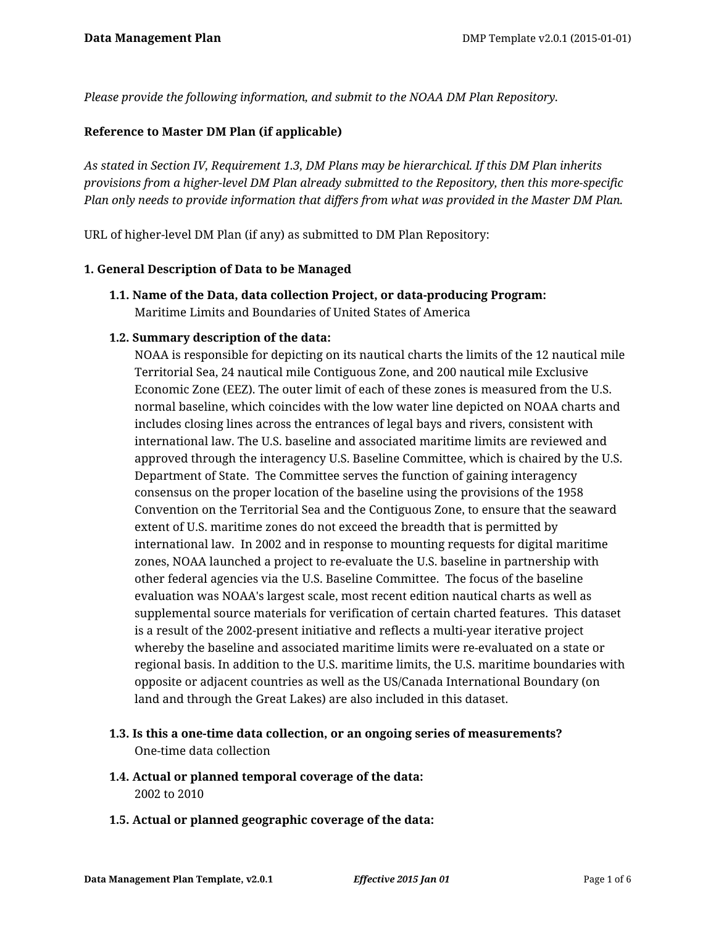*Please provide the following information, and submit to the NOAA DM Plan Repository.*

### **Reference to Master DM Plan (if applicable)**

*As stated in Section IV, Requirement 1.3, DM Plans may be hierarchical. If this DM Plan inherits provisions from a higher-level DM Plan already submitted to the Repository, then this more-specific Plan only needs to provide information that differs from what was provided in the Master DM Plan.*

URL of higher-level DM Plan (if any) as submitted to DM Plan Repository:

#### **1. General Description of Data to be Managed**

**1.1. Name of the Data, data collection Project, or data-producing Program:** Maritime Limits and Boundaries of United States of America

### **1.2. Summary description of the data:**

NOAA is responsible for depicting on its nautical charts the limits of the 12 nautical mile Territorial Sea, 24 nautical mile Contiguous Zone, and 200 nautical mile Exclusive Economic Zone (EEZ). The outer limit of each of these zones is measured from the U.S. normal baseline, which coincides with the low water line depicted on NOAA charts and includes closing lines across the entrances of legal bays and rivers, consistent with international law. The U.S. baseline and associated maritime limits are reviewed and approved through the interagency U.S. Baseline Committee, which is chaired by the U.S. Department of State. The Committee serves the function of gaining interagency consensus on the proper location of the baseline using the provisions of the 1958 Convention on the Territorial Sea and the Contiguous Zone, to ensure that the seaward extent of U.S. maritime zones do not exceed the breadth that is permitted by international law. In 2002 and in response to mounting requests for digital maritime zones, NOAA launched a project to re-evaluate the U.S. baseline in partnership with other federal agencies via the U.S. Baseline Committee. The focus of the baseline evaluation was NOAA's largest scale, most recent edition nautical charts as well as supplemental source materials for verification of certain charted features. This dataset is a result of the 2002-present initiative and reflects a multi-year iterative project whereby the baseline and associated maritime limits were re-evaluated on a state or regional basis. In addition to the U.S. maritime limits, the U.S. maritime boundaries with opposite or adjacent countries as well as the US/Canada International Boundary (on land and through the Great Lakes) are also included in this dataset.

# **1.3. Is this a one-time data collection, or an ongoing series of measurements?** One-time data collection

- **1.4. Actual or planned temporal coverage of the data:** 2002 to 2010
- **1.5. Actual or planned geographic coverage of the data:**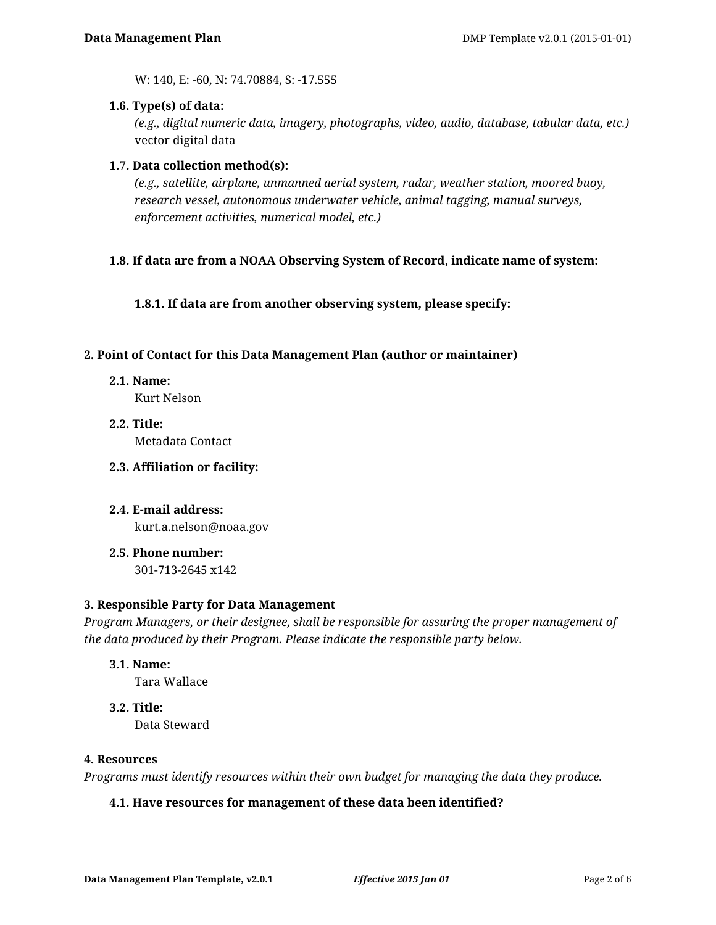W: 140, E: -60, N: 74.70884, S: -17.555

#### **1.6. Type(s) of data:**

*(e.g., digital numeric data, imagery, photographs, video, audio, database, tabular data, etc.)* vector digital data

### **1.7. Data collection method(s):**

*(e.g., satellite, airplane, unmanned aerial system, radar, weather station, moored buoy, research vessel, autonomous underwater vehicle, animal tagging, manual surveys, enforcement activities, numerical model, etc.)*

### **1.8. If data are from a NOAA Observing System of Record, indicate name of system:**

**1.8.1. If data are from another observing system, please specify:**

#### **2. Point of Contact for this Data Management Plan (author or maintainer)**

**2.1. Name:**

Kurt Nelson

- **2.2. Title:** Metadata Contact
- **2.3. Affiliation or facility:**
- **2.4. E-mail address:** kurt.a.nelson@noaa.gov
- **2.5. Phone number:** 301-713-2645 x142

**3. Responsible Party for Data Management**

*Program Managers, or their designee, shall be responsible for assuring the proper management of the data produced by their Program. Please indicate the responsible party below.*

**3.1. Name:**

Tara Wallace

**3.2. Title:**

Data Steward

#### **4. Resources**

*Programs must identify resources within their own budget for managing the data they produce.*

#### **4.1. Have resources for management of these data been identified?**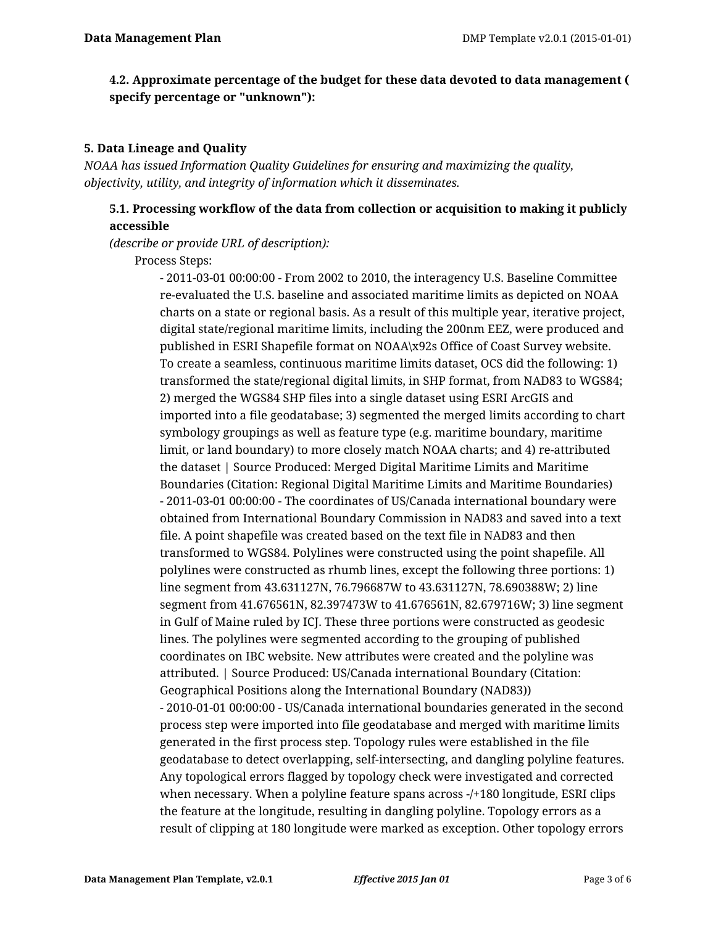# **4.2. Approximate percentage of the budget for these data devoted to data management ( specify percentage or "unknown"):**

### **5. Data Lineage and Quality**

*NOAA has issued Information Quality Guidelines for ensuring and maximizing the quality, objectivity, utility, and integrity of information which it disseminates.*

# **5.1. Processing workflow of the data from collection or acquisition to making it publicly accessible**

*(describe or provide URL of description):*

Process Steps:

- 2011-03-01 00:00:00 - From 2002 to 2010, the interagency U.S. Baseline Committee re-evaluated the U.S. baseline and associated maritime limits as depicted on NOAA charts on a state or regional basis. As a result of this multiple year, iterative project, digital state/regional maritime limits, including the 200nm EEZ, were produced and published in ESRI Shapefile format on NOAA\x92s Office of Coast Survey website. To create a seamless, continuous maritime limits dataset, OCS did the following: 1) transformed the state/regional digital limits, in SHP format, from NAD83 to WGS84; 2) merged the WGS84 SHP files into a single dataset using ESRI ArcGIS and imported into a file geodatabase; 3) segmented the merged limits according to chart symbology groupings as well as feature type (e.g. maritime boundary, maritime limit, or land boundary) to more closely match NOAA charts; and 4) re-attributed the dataset | Source Produced: Merged Digital Maritime Limits and Maritime Boundaries (Citation: Regional Digital Maritime Limits and Maritime Boundaries) - 2011-03-01 00:00:00 - The coordinates of US/Canada international boundary were obtained from International Boundary Commission in NAD83 and saved into a text file. A point shapefile was created based on the text file in NAD83 and then transformed to WGS84. Polylines were constructed using the point shapefile. All polylines were constructed as rhumb lines, except the following three portions: 1) line segment from 43.631127N, 76.796687W to 43.631127N, 78.690388W; 2) line segment from 41.676561N, 82.397473W to 41.676561N, 82.679716W; 3) line segment in Gulf of Maine ruled by ICJ. These three portions were constructed as geodesic lines. The polylines were segmented according to the grouping of published coordinates on IBC website. New attributes were created and the polyline was attributed. | Source Produced: US/Canada international Boundary (Citation: Geographical Positions along the International Boundary (NAD83)) - 2010-01-01 00:00:00 - US/Canada international boundaries generated in the second process step were imported into file geodatabase and merged with maritime limits generated in the first process step. Topology rules were established in the file geodatabase to detect overlapping, self-intersecting, and dangling polyline features. Any topological errors flagged by topology check were investigated and corrected when necessary. When a polyline feature spans across -/+180 longitude, ESRI clips the feature at the longitude, resulting in dangling polyline. Topology errors as a result of clipping at 180 longitude were marked as exception. Other topology errors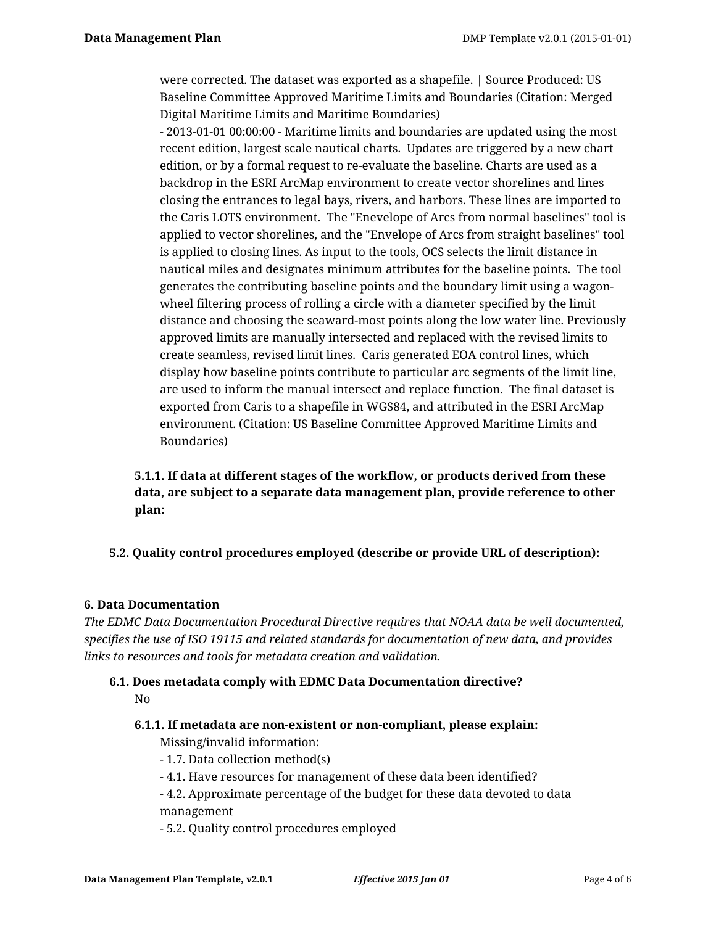were corrected. The dataset was exported as a shapefile. | Source Produced: US Baseline Committee Approved Maritime Limits and Boundaries (Citation: Merged Digital Maritime Limits and Maritime Boundaries)

- 2013-01-01 00:00:00 - Maritime limits and boundaries are updated using the most recent edition, largest scale nautical charts. Updates are triggered by a new chart edition, or by a formal request to re-evaluate the baseline. Charts are used as a backdrop in the ESRI ArcMap environment to create vector shorelines and lines closing the entrances to legal bays, rivers, and harbors. These lines are imported to the Caris LOTS environment. The "Enevelope of Arcs from normal baselines" tool is applied to vector shorelines, and the "Envelope of Arcs from straight baselines" tool is applied to closing lines. As input to the tools, OCS selects the limit distance in nautical miles and designates minimum attributes for the baseline points. The tool generates the contributing baseline points and the boundary limit using a wagonwheel filtering process of rolling a circle with a diameter specified by the limit distance and choosing the seaward-most points along the low water line. Previously approved limits are manually intersected and replaced with the revised limits to create seamless, revised limit lines. Caris generated EOA control lines, which display how baseline points contribute to particular arc segments of the limit line, are used to inform the manual intersect and replace function. The final dataset is exported from Caris to a shapefile in WGS84, and attributed in the ESRI ArcMap environment. (Citation: US Baseline Committee Approved Maritime Limits and Boundaries)

# **5.1.1. If data at different stages of the workflow, or products derived from these data, are subject to a separate data management plan, provide reference to other plan:**

# **5.2. Quality control procedures employed (describe or provide URL of description):**

#### **6. Data Documentation**

*The EDMC Data Documentation Procedural Directive requires that NOAA data be well documented, specifies the use of ISO 19115 and related standards for documentation of new data, and provides links to resources and tools for metadata creation and validation.*

# **6.1. Does metadata comply with EDMC Data Documentation directive?** No

#### **6.1.1. If metadata are non-existent or non-compliant, please explain:**

Missing/invalid information:

- 1.7. Data collection method(s)
- 4.1. Have resources for management of these data been identified?

- 4.2. Approximate percentage of the budget for these data devoted to data management

- 5.2. Quality control procedures employed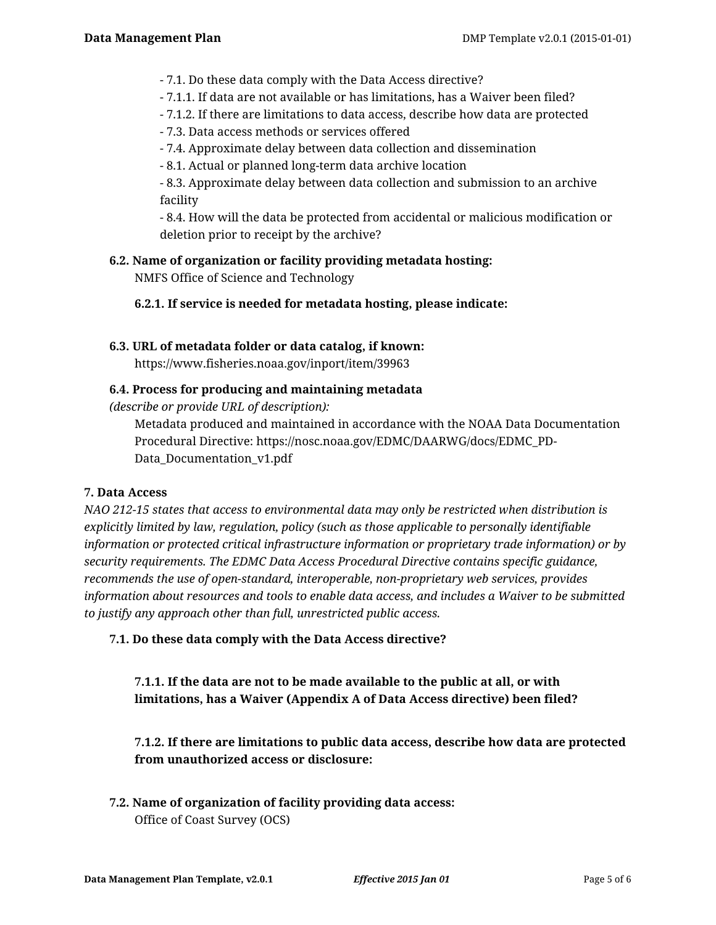- 7.1. Do these data comply with the Data Access directive?

- 7.1.1. If data are not available or has limitations, has a Waiver been filed?

- 7.1.2. If there are limitations to data access, describe how data are protected

- 7.3. Data access methods or services offered

- 7.4. Approximate delay between data collection and dissemination

- 8.1. Actual or planned long-term data archive location

- 8.3. Approximate delay between data collection and submission to an archive facility

- 8.4. How will the data be protected from accidental or malicious modification or deletion prior to receipt by the archive?

**6.2. Name of organization or facility providing metadata hosting:** NMFS Office of Science and Technology

**6.2.1. If service is needed for metadata hosting, please indicate:**

#### **6.3. URL of metadata folder or data catalog, if known:**

https://www.fisheries.noaa.gov/inport/item/39963

### **6.4. Process for producing and maintaining metadata**

*(describe or provide URL of description):*

Metadata produced and maintained in accordance with the NOAA Data Documentation Procedural Directive: https://nosc.noaa.gov/EDMC/DAARWG/docs/EDMC\_PD-Data Documentation v1.pdf

#### **7. Data Access**

*NAO 212-15 states that access to environmental data may only be restricted when distribution is explicitly limited by law, regulation, policy (such as those applicable to personally identifiable information or protected critical infrastructure information or proprietary trade information) or by security requirements. The EDMC Data Access Procedural Directive contains specific guidance, recommends the use of open-standard, interoperable, non-proprietary web services, provides information about resources and tools to enable data access, and includes a Waiver to be submitted to justify any approach other than full, unrestricted public access.*

**7.1. Do these data comply with the Data Access directive?**

# **7.1.1. If the data are not to be made available to the public at all, or with limitations, has a Waiver (Appendix A of Data Access directive) been filed?**

**7.1.2. If there are limitations to public data access, describe how data are protected from unauthorized access or disclosure:**

**7.2. Name of organization of facility providing data access:** Office of Coast Survey (OCS)